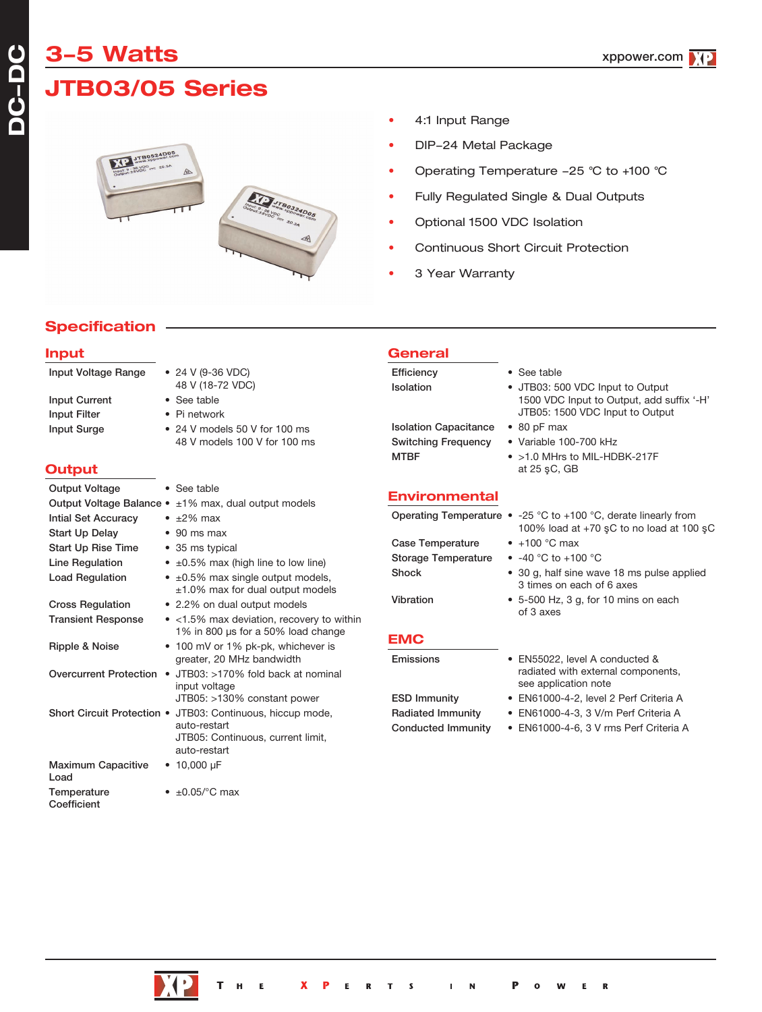# **3-5 Watts**

**DC-**

**DC**

# **JTB03/05 Series**



- 4:1 Input Range
- DIP-24 Metal Package
- Operating Temperature 25 °C to +100 °C
- Fully Regulated Single & Dual Outputs
- Optional 1500 VDC Isolation
- Continuous Short Circuit Protection
- 3 Year Warranty

### **Specification**

| <b>Input</b>                                        |                                                                                                                                 | General                                                                   |                                                                                                                       |
|-----------------------------------------------------|---------------------------------------------------------------------------------------------------------------------------------|---------------------------------------------------------------------------|-----------------------------------------------------------------------------------------------------------------------|
| Input Voltage Range                                 | • 24 V (9-36 VDC)<br>48 V (18-72 VDC)                                                                                           | Efficiency<br>Isolation                                                   | • See table<br>• JTB03: 500 VDC Input to Output                                                                       |
| <b>Input Current</b><br><b>Input Filter</b>         | • See table<br>• Pi network                                                                                                     |                                                                           | 1500 VDC Input to Output, add suffix '-H'<br>JTB05: 1500 VDC Input to Output                                          |
| <b>Input Surge</b><br>Output                        | • 24 V models 50 V for 100 ms<br>48 V models 100 V for 100 ms                                                                   | <b>Isolation Capacitance</b><br><b>Switching Frequency</b><br><b>MTBF</b> | $\bullet$ 80 pF max<br>• Variable 100-700 kHz<br>• >1.0 MHrs to MIL-HDBK-217F<br>at $25$ $$C, GB$                     |
| <b>Output Voltage</b>                               | • See table                                                                                                                     |                                                                           |                                                                                                                       |
|                                                     | Output Voltage Balance • ±1% max, dual output models                                                                            | <b>Environmental</b>                                                      |                                                                                                                       |
| <b>Intial Set Accuracy</b><br><b>Start Up Delay</b> | $\cdot$ ±2% max<br>$\bullet$ 90 ms max                                                                                          |                                                                           | Operating Temperature $\bullet$ -25 °C to +100 °C, derate linearly from<br>100% load at $+70$ sC to no load at 100 sC |
| <b>Start Up Rise Time</b>                           | • 35 ms typical                                                                                                                 | <b>Case Temperature</b>                                                   | $\bullet$ +100 °C max                                                                                                 |
| <b>Line Regulation</b>                              | $\bullet$ $\pm 0.5\%$ max (high line to low line)                                                                               | <b>Storage Temperature</b>                                                | • $-40$ °C to $+100$ °C                                                                                               |
| <b>Load Regulation</b>                              | $\bullet$ ±0.5% max single output models,<br>$±1.0\%$ max for dual output models                                                | <b>Shock</b>                                                              | • 30 g, half sine wave 18 ms pulse applied<br>3 times on each of 6 axes                                               |
| <b>Cross Regulation</b>                             | • 2.2% on dual output models<br>• <1.5% max deviation, recovery to within                                                       | Vibration                                                                 | • 5-500 Hz, 3 g, for 10 mins on each<br>of 3 axes                                                                     |
| <b>Transient Response</b><br>Ripple & Noise         | 1% in 800 µs for a 50% load change<br>• 100 mV or 1% pk-pk, whichever is                                                        | <b>EMC</b>                                                                |                                                                                                                       |
|                                                     | greater, 20 MHz bandwidth                                                                                                       | Emissions                                                                 | • EN55022, level A conducted &                                                                                        |
|                                                     | Overcurrent Protection • JTB03: >170% fold back at nominal<br>input voltage                                                     |                                                                           | radiated with external components,<br>see application note                                                            |
|                                                     | JTB05: >130% constant power                                                                                                     | <b>ESD Immunity</b>                                                       | • EN61000-4-2, level 2 Perf Criteria A                                                                                |
|                                                     | Short Circuit Protection • JTB03: Continuous, hiccup mode,<br>auto-restart<br>JTB05: Continuous, current limit,<br>auto-restart | <b>Radiated Immunity</b><br><b>Conducted Immunity</b>                     | • EN61000-4-3, 3 V/m Perf Criteria A<br>• EN61000-4-6, 3 V rms Perf Criteria A                                        |
| <b>Maximum Capacitive</b><br>Load                   | $\cdot$ 10,000 µF                                                                                                               |                                                                           |                                                                                                                       |



Temperature  $\bullet$   $\pm 0.05$ /°C max

Coefficient